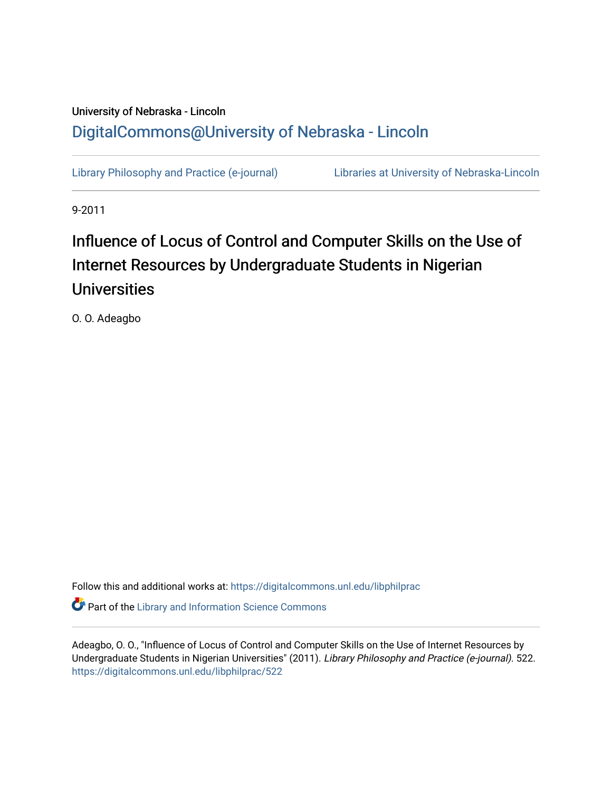# University of Nebraska - Lincoln [DigitalCommons@University of Nebraska - Lincoln](https://digitalcommons.unl.edu/)

[Library Philosophy and Practice \(e-journal\)](https://digitalcommons.unl.edu/libphilprac) [Libraries at University of Nebraska-Lincoln](https://digitalcommons.unl.edu/libraries) 

9-2011

# Influence of Locus of Control and Computer Skills on the Use of Internet Resources by Undergraduate Students in Nigerian Universities

O. O. Adeagbo

Follow this and additional works at: [https://digitalcommons.unl.edu/libphilprac](https://digitalcommons.unl.edu/libphilprac?utm_source=digitalcommons.unl.edu%2Flibphilprac%2F522&utm_medium=PDF&utm_campaign=PDFCoverPages) 

**C** Part of the Library and Information Science Commons

Adeagbo, O. O., "Influence of Locus of Control and Computer Skills on the Use of Internet Resources by Undergraduate Students in Nigerian Universities" (2011). Library Philosophy and Practice (e-journal). 522. [https://digitalcommons.unl.edu/libphilprac/522](https://digitalcommons.unl.edu/libphilprac/522?utm_source=digitalcommons.unl.edu%2Flibphilprac%2F522&utm_medium=PDF&utm_campaign=PDFCoverPages)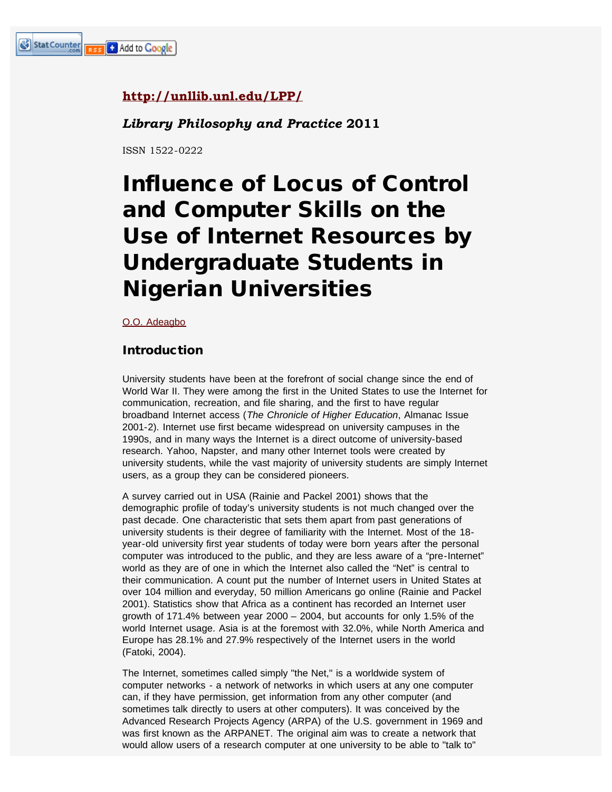# **<http://unllib.unl.edu/LPP/>**

# *Library Philosophy and Practice* **2011**

ISSN 1522-0222

# Influence of Locus of Control and Computer Skills on the Use of Internet Resources by Undergraduate Students in Nigerian Universities

[O.O. Adeagbo](mailto:mbfati@yahoo.co.uk)

# Introduction

University students have been at the forefront of social change since the end of World War II. They were among the first in the United States to use the Internet for communication, recreation, and file sharing, and the first to have regular broadband Internet access (*The Chronicle of Higher Education*, Almanac Issue 2001-2). Internet use first became widespread on university campuses in the 1990s, and in many ways the Internet is a direct outcome of university-based research. Yahoo, Napster, and many other Internet tools were created by university students, while the vast majority of university students are simply Internet users, as a group they can be considered pioneers.

A survey carried out in USA (Rainie and Packel 2001) shows that the demographic profile of today's university students is not much changed over the past decade. One characteristic that sets them apart from past generations of university students is their degree of familiarity with the Internet. Most of the 18 year-old university first year students of today were born years after the personal computer was introduced to the public, and they are less aware of a "pre-Internet" world as they are of one in which the Internet also called the "Net" is central to their communication. A count put the number of Internet users in United States at over 104 million and everyday, 50 million Americans go online (Rainie and Packel 2001). Statistics show that Africa as a continent has recorded an Internet user growth of 171.4% between year 2000 – 2004, but accounts for only 1.5% of the world Internet usage. Asia is at the foremost with 32.0%, while North America and Europe has 28.1% and 27.9% respectively of the Internet users in the world (Fatoki, 2004).

The Internet, sometimes called simply "the Net," is a worldwide system of computer networks - a network of networks in which users at any one computer can, if they have permission, get information from any other computer (and sometimes talk directly to users at other computers). It was conceived by the Advanced Research Projects Agency (ARPA) of the U.S. government in 1969 and was first known as the ARPANET. The original aim was to create a network that would allow users of a research computer at one university to be able to "talk to"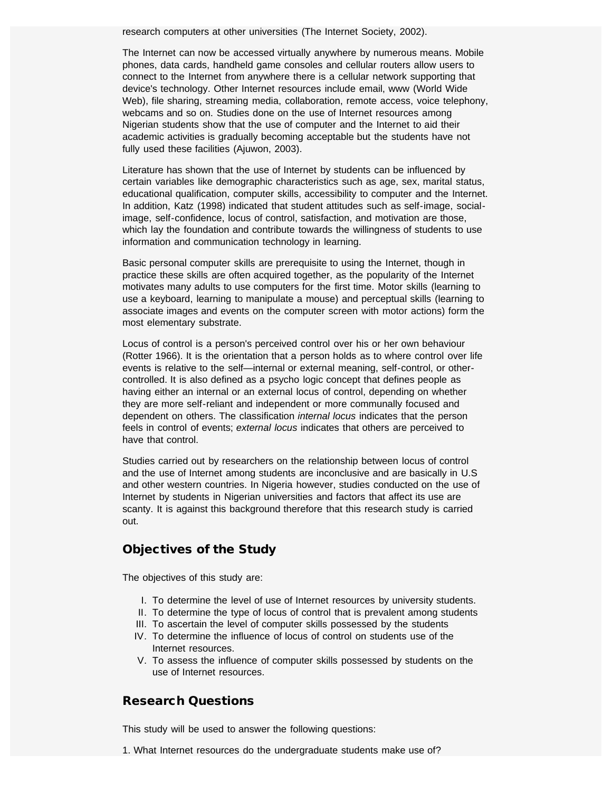research computers at other universities (The Internet Society, 2002).

The Internet can now be accessed virtually anywhere by numerous means. Mobile phones, data cards, handheld game consoles and cellular routers allow users to connect to the Internet from anywhere there is a cellular network supporting that device's technology. Other Internet resources include email, www (World Wide Web), file sharing, streaming media, collaboration, remote access, voice telephony, webcams and so on. Studies done on the use of Internet resources among Nigerian students show that the use of computer and the Internet to aid their academic activities is gradually becoming acceptable but the students have not fully used these facilities (Ajuwon, 2003).

Literature has shown that the use of Internet by students can be influenced by certain variables like demographic characteristics such as age, sex, marital status, educational qualification, computer skills, accessibility to computer and the Internet. In addition, Katz (1998) indicated that student attitudes such as self-image, socialimage, self-confidence, locus of control, satisfaction, and motivation are those, which lay the foundation and contribute towards the willingness of students to use information and communication technology in learning.

Basic personal computer skills are prerequisite to using the Internet, though in practice these skills are often acquired together, as the popularity of the Internet motivates many adults to use computers for the first time. Motor skills (learning to use a keyboard, learning to manipulate a mouse) and perceptual skills (learning to associate images and events on the computer screen with motor actions) form the most elementary substrate.

Locus of control is a person's perceived control over his or her own behaviour (Rotter 1966). It is the orientation that a person holds as to where control over life events is relative to the self—internal or external meaning, self-control, or othercontrolled. It is also defined as a psycho logic concept that defines people as having either an internal or an external locus of control, depending on whether they are more self-reliant and independent or more communally focused and dependent on others. The classification *internal locus* indicates that the person feels in control of events; *external locus* indicates that others are perceived to have that control.

Studies carried out by researchers on the relationship between locus of control and the use of Internet among students are inconclusive and are basically in U.S and other western countries. In Nigeria however, studies conducted on the use of Internet by students in Nigerian universities and factors that affect its use are scanty. It is against this background therefore that this research study is carried out.

# Objectives of the Study

The objectives of this study are:

- I. To determine the level of use of Internet resources by university students.
- II. To determine the type of locus of control that is prevalent among students
- III. To ascertain the level of computer skills possessed by the students
- IV. To determine the influence of locus of control on students use of the Internet resources.
- V. To assess the influence of computer skills possessed by students on the use of Internet resources.

# Research Questions

This study will be used to answer the following questions:

1. What Internet resources do the undergraduate students make use of?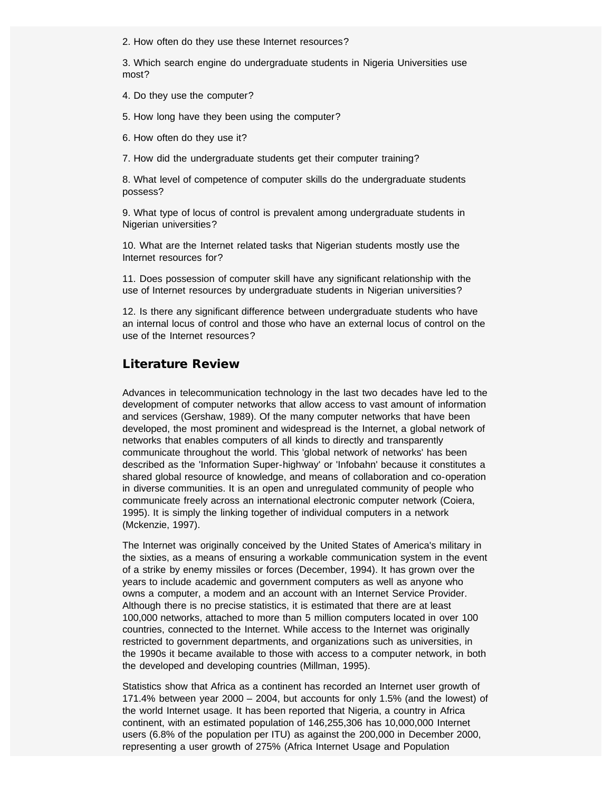2. How often do they use these Internet resources?

3. Which search engine do undergraduate students in Nigeria Universities use most?

4. Do they use the computer?

5. How long have they been using the computer?

6. How often do they use it?

7. How did the undergraduate students get their computer training?

8. What level of competence of computer skills do the undergraduate students possess?

9. What type of locus of control is prevalent among undergraduate students in Nigerian universities?

10. What are the Internet related tasks that Nigerian students mostly use the Internet resources for?

11. Does possession of computer skill have any significant relationship with the use of Internet resources by undergraduate students in Nigerian universities?

12. Is there any significant difference between undergraduate students who have an internal locus of control and those who have an external locus of control on the use of the Internet resources?

# Literature Review

Advances in telecommunication technology in the last two decades have led to the development of computer networks that allow access to vast amount of information and services (Gershaw, 1989). Of the many computer networks that have been developed, the most prominent and widespread is the Internet, a global network of networks that enables computers of all kinds to directly and transparently communicate throughout the world. This 'global network of networks' has been described as the 'Information Super-highway' or 'Infobahn' because it constitutes a shared global resource of knowledge, and means of collaboration and co-operation in diverse communities. It is an open and unregulated community of people who communicate freely across an international electronic computer network (Coiera, 1995). It is simply the linking together of individual computers in a network (Mckenzie, 1997).

The Internet was originally conceived by the United States of America's military in the sixties, as a means of ensuring a workable communication system in the event of a strike by enemy missiles or forces (December, 1994). It has grown over the years to include academic and government computers as well as anyone who owns a computer, a modem and an account with an Internet Service Provider. Although there is no precise statistics, it is estimated that there are at least 100,000 networks, attached to more than 5 million computers located in over 100 countries, connected to the Internet. While access to the Internet was originally restricted to government departments, and organizations such as universities, in the 1990s it became available to those with access to a computer network, in both the developed and developing countries (Millman, 1995).

Statistics show that Africa as a continent has recorded an Internet user growth of 171.4% between year 2000 – 2004, but accounts for only 1.5% (and the lowest) of the world Internet usage. It has been reported that Nigeria, a country in Africa continent, with an estimated population of 146,255,306 has 10,000,000 Internet users (6.8% of the population per ITU) as against the 200,000 in December 2000, representing a user growth of 275% (Africa Internet Usage and Population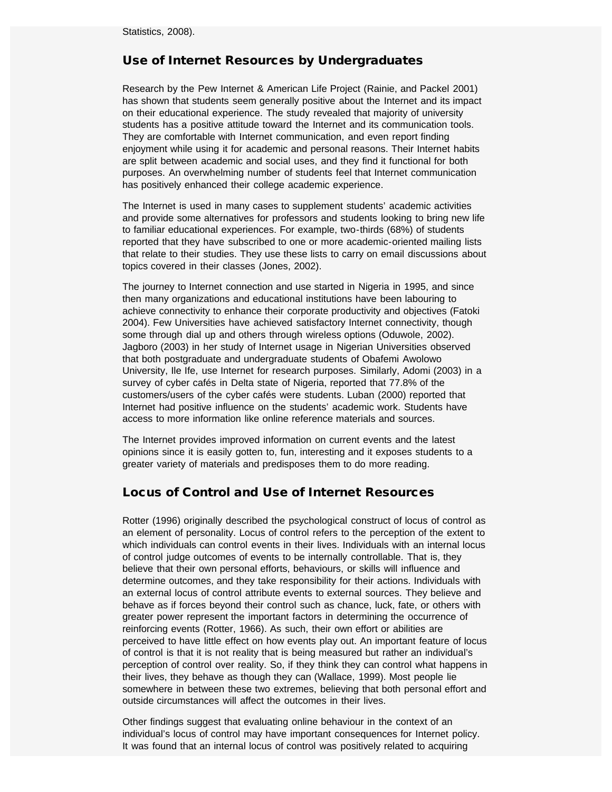Statistics, 2008).

# Use of Internet Resources by Undergraduates

Research by the Pew Internet & American Life Project (Rainie, and Packel 2001) has shown that students seem generally positive about the Internet and its impact on their educational experience. The study revealed that majority of university students has a positive attitude toward the Internet and its communication tools. They are comfortable with Internet communication, and even report finding enjoyment while using it for academic and personal reasons. Their Internet habits are split between academic and social uses, and they find it functional for both purposes. An overwhelming number of students feel that Internet communication has positively enhanced their college academic experience.

The Internet is used in many cases to supplement students' academic activities and provide some alternatives for professors and students looking to bring new life to familiar educational experiences. For example, two-thirds (68%) of students reported that they have subscribed to one or more academic-oriented mailing lists that relate to their studies. They use these lists to carry on email discussions about topics covered in their classes (Jones, 2002).

The journey to Internet connection and use started in Nigeria in 1995, and since then many organizations and educational institutions have been labouring to achieve connectivity to enhance their corporate productivity and objectives (Fatoki 2004). Few Universities have achieved satisfactory Internet connectivity, though some through dial up and others through wireless options (Oduwole, 2002). Jagboro (2003) in her study of Internet usage in Nigerian Universities observed that both postgraduate and undergraduate students of Obafemi Awolowo University, Ile Ife, use Internet for research purposes. Similarly, Adomi (2003) in a survey of cyber cafés in Delta state of Nigeria, reported that 77.8% of the customers/users of the cyber cafés were students. Luban (2000) reported that Internet had positive influence on the students' academic work. Students have access to more information like online reference materials and sources.

The Internet provides improved information on current events and the latest opinions since it is easily gotten to, fun, interesting and it exposes students to a greater variety of materials and predisposes them to do more reading.

# Locus of Control and Use of Internet Resources

Rotter (1996) originally described the psychological construct of locus of control as an element of personality. Locus of control refers to the perception of the extent to which individuals can control events in their lives. Individuals with an internal locus of control judge outcomes of events to be internally controllable. That is, they believe that their own personal efforts, behaviours, or skills will influence and determine outcomes, and they take responsibility for their actions. Individuals with an external locus of control attribute events to external sources. They believe and behave as if forces beyond their control such as chance, luck, fate, or others with greater power represent the important factors in determining the occurrence of reinforcing events (Rotter, 1966). As such, their own effort or abilities are perceived to have little effect on how events play out. An important feature of locus of control is that it is not reality that is being measured but rather an individual's perception of control over reality. So, if they think they can control what happens in their lives, they behave as though they can (Wallace, 1999). Most people lie somewhere in between these two extremes, believing that both personal effort and outside circumstances will affect the outcomes in their lives.

Other findings suggest that evaluating online behaviour in the context of an individual's locus of control may have important consequences for Internet policy. It was found that an internal locus of control was positively related to acquiring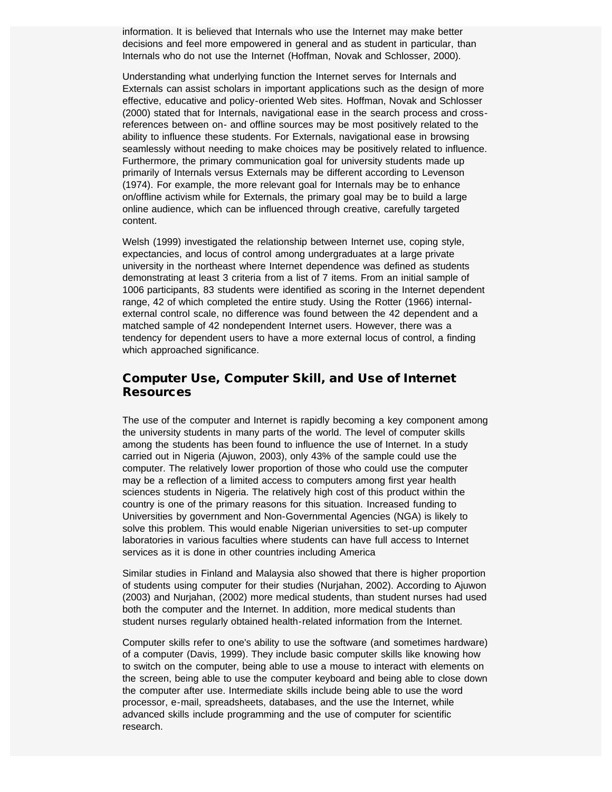information. It is believed that Internals who use the Internet may make better decisions and feel more empowered in general and as student in particular, than Internals who do not use the Internet (Hoffman, Novak and Schlosser, 2000).

Understanding what underlying function the Internet serves for Internals and Externals can assist scholars in important applications such as the design of more effective, educative and policy-oriented Web sites. Hoffman, Novak and Schlosser (2000) stated that for Internals, navigational ease in the search process and crossreferences between on- and offline sources may be most positively related to the ability to influence these students. For Externals, navigational ease in browsing seamlessly without needing to make choices may be positively related to influence. Furthermore, the primary communication goal for university students made up primarily of Internals versus Externals may be different according to Levenson (1974). For example, the more relevant goal for Internals may be to enhance on/offline activism while for Externals, the primary goal may be to build a large online audience, which can be influenced through creative, carefully targeted content.

Welsh (1999) investigated the relationship between Internet use, coping style, expectancies, and locus of control among undergraduates at a large private university in the northeast where Internet dependence was defined as students demonstrating at least 3 criteria from a list of 7 items. From an initial sample of 1006 participants, 83 students were identified as scoring in the Internet dependent range, 42 of which completed the entire study. Using the Rotter (1966) internalexternal control scale, no difference was found between the 42 dependent and a matched sample of 42 nondependent Internet users. However, there was a tendency for dependent users to have a more external locus of control, a finding which approached significance.

# Computer Use, Computer Skill, and Use of Internet **Resources**

The use of the computer and Internet is rapidly becoming a key component among the university students in many parts of the world. The level of computer skills among the students has been found to influence the use of Internet. In a study carried out in Nigeria (Ajuwon, 2003), only 43% of the sample could use the computer. The relatively lower proportion of those who could use the computer may be a reflection of a limited access to computers among first year health sciences students in Nigeria. The relatively high cost of this product within the country is one of the primary reasons for this situation. Increased funding to Universities by government and Non-Governmental Agencies (NGA) is likely to solve this problem. This would enable Nigerian universities to set-up computer laboratories in various faculties where students can have full access to Internet services as it is done in other countries including America

Similar studies in Finland and Malaysia also showed that there is higher proportion of students using computer for their studies (Nurjahan, 2002). According to Ajuwon (2003) and Nurjahan, (2002) more medical students, than student nurses had used both the computer and the Internet. In addition, more medical students than student nurses regularly obtained health-related information from the Internet.

Computer skills refer to one's ability to use the software (and sometimes hardware) of a computer (Davis, 1999). They include basic computer skills like knowing how to switch on the computer, being able to use a mouse to interact with elements on the screen, being able to use the computer keyboard and being able to close down the computer after use. Intermediate skills include being able to use the word processor, e-mail, spreadsheets, databases, and the use the Internet, while advanced skills include programming and the use of computer for scientific research.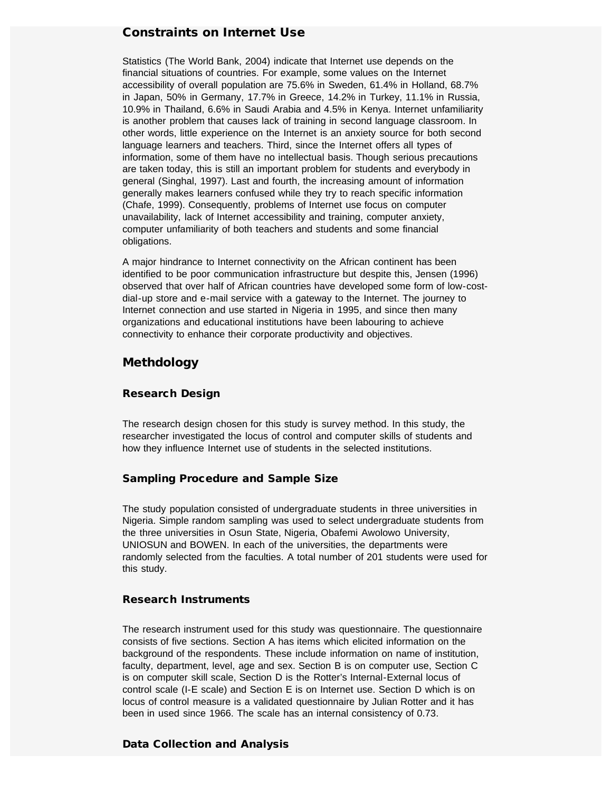# Constraints on Internet Use

Statistics (The World Bank, 2004) indicate that Internet use depends on the financial situations of countries. For example, some values on the Internet accessibility of overall population are 75.6% in Sweden, 61.4% in Holland, 68.7% in Japan, 50% in Germany, 17.7% in Greece, 14.2% in Turkey, 11.1% in Russia, 10.9% in Thailand, 6.6% in Saudi Arabia and 4.5% in Kenya. Internet unfamiliarity is another problem that causes lack of training in second language classroom. In other words, little experience on the Internet is an anxiety source for both second language learners and teachers. Third, since the Internet offers all types of information, some of them have no intellectual basis. Though serious precautions are taken today, this is still an important problem for students and everybody in general (Singhal, 1997). Last and fourth, the increasing amount of information generally makes learners confused while they try to reach specific information (Chafe, 1999). Consequently, problems of Internet use focus on computer unavailability, lack of Internet accessibility and training, computer anxiety, computer unfamiliarity of both teachers and students and some financial obligations.

A major hindrance to Internet connectivity on the African continent has been identified to be poor communication infrastructure but despite this, Jensen (1996) observed that over half of African countries have developed some form of low-costdial-up store and e-mail service with a gateway to the Internet. The journey to Internet connection and use started in Nigeria in 1995, and since then many organizations and educational institutions have been labouring to achieve connectivity to enhance their corporate productivity and objectives.

# Methdology

#### Research Design

The research design chosen for this study is survey method. In this study, the researcher investigated the locus of control and computer skills of students and how they influence Internet use of students in the selected institutions.

### Sampling Procedure and Sample Size

The study population consisted of undergraduate students in three universities in Nigeria. Simple random sampling was used to select undergraduate students from the three universities in Osun State, Nigeria, Obafemi Awolowo University, UNIOSUN and BOWEN. In each of the universities, the departments were randomly selected from the faculties. A total number of 201 students were used for this study.

#### Research Instruments

The research instrument used for this study was questionnaire. The questionnaire consists of five sections. Section A has items which elicited information on the background of the respondents. These include information on name of institution, faculty, department, level, age and sex. Section B is on computer use, Section C is on computer skill scale, Section D is the Rotter's Internal-External locus of control scale (I-E scale) and Section E is on Internet use. Section D which is on locus of control measure is a validated questionnaire by Julian Rotter and it has been in used since 1966. The scale has an internal consistency of 0.73.

#### Data Collection and Analysis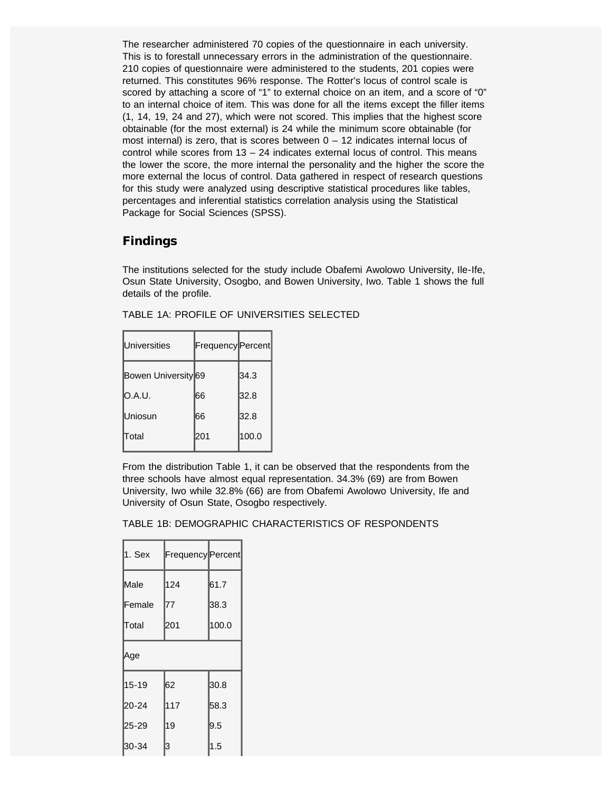The researcher administered 70 copies of the questionnaire in each university. This is to forestall unnecessary errors in the administration of the questionnaire. 210 copies of questionnaire were administered to the students, 201 copies were returned. This constitutes 96% response. The Rotter's locus of control scale is scored by attaching a score of "1" to external choice on an item, and a score of "0" to an internal choice of item. This was done for all the items except the filler items (1, 14, 19, 24 and 27), which were not scored. This implies that the highest score obtainable (for the most external) is 24 while the minimum score obtainable (for most internal) is zero, that is scores between  $0 - 12$  indicates internal locus of control while scores from  $13 - 24$  indicates external locus of control. This means the lower the score, the more internal the personality and the higher the score the more external the locus of control. Data gathered in respect of research questions for this study were analyzed using descriptive statistical procedures like tables, percentages and inferential statistics correlation analysis using the Statistical Package for Social Sciences (SPSS).

# Findings

The institutions selected for the study include Obafemi Awolowo University, Ile-Ife, Osun State University, Osogbo, and Bowen University, Iwo. Table 1 shows the full details of the profile.

| <b>Universities</b> | Frequency Percent |       |
|---------------------|-------------------|-------|
| Bowen University 69 |                   | 34.3  |
| O.A.U.              | 166               | 32.8  |
| lUniosun            | 166               | 32.8  |
| lTotal              | 201               | 100.0 |

TABLE 1A: PROFILE OF UNIVERSITIES SELECTED

From the distribution Table 1, it can be observed that the respondents from the three schools have almost equal representation. 34.3% (69) are from Bowen University, Iwo while 32.8% (66) are from Obafemi Awolowo University, Ife and University of Osun State, Osogbo respectively.

TABLE 1B: DEMOGRAPHIC CHARACTERISTICS OF RESPONDENTS

| 1. Sex    | Frequency Percent |       |
|-----------|-------------------|-------|
| Male      | 124               | 61.7  |
| Female    | 77                | 38.3  |
| Total     | 201               | 100.0 |
| Age       |                   |       |
| $15 - 19$ | 62                | 30.8  |
| $20 - 24$ | 117               | 58.3  |
| 25-29     | 19                | 9.5   |
| 30-34     | 3                 | 1.5   |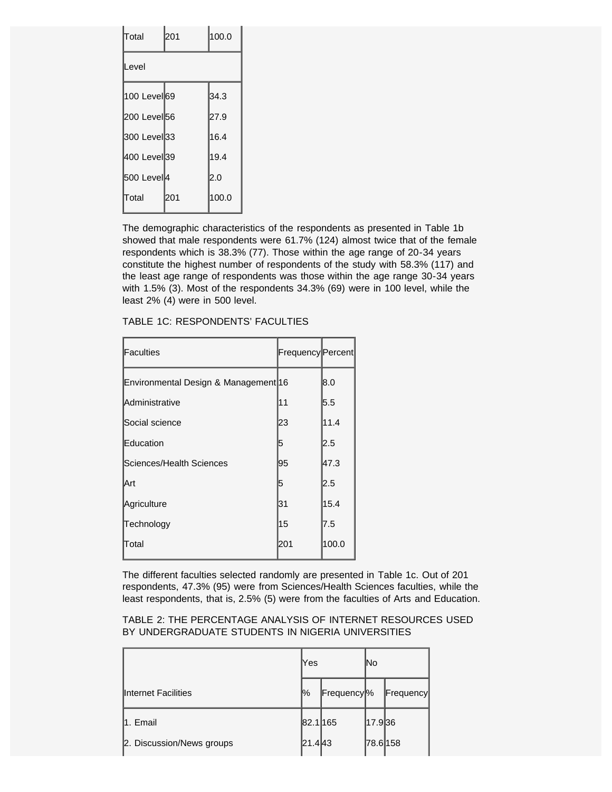| Total                   | 201 | 100.0 |  |  |  |
|-------------------------|-----|-------|--|--|--|
| Level                   |     |       |  |  |  |
| 100 Level <b>69</b>     |     | 34.3  |  |  |  |
| 200 Level <sup>56</sup> |     | 27.9  |  |  |  |
| 300 Level33             |     | 16.4  |  |  |  |
| 400 Level <b>3</b> 9    |     | 19.4  |  |  |  |
| 500 Level <sup>4</sup>  |     | 2.0   |  |  |  |
| Total                   | 201 | 100.0 |  |  |  |

The demographic characteristics of the respondents as presented in Table 1b showed that male respondents were 61.7% (124) almost twice that of the female respondents which is 38.3% (77). Those within the age range of 20-34 years constitute the highest number of respondents of the study with 58.3% (117) and the least age range of respondents was those within the age range 30-34 years with 1.5% (3). Most of the respondents 34.3% (69) were in 100 level, while the least 2% (4) were in 500 level.

| <b>Faculties</b>                     | Frequency Percent |       |
|--------------------------------------|-------------------|-------|
| Environmental Design & Management 16 |                   | 8.0   |
| <b>Administrative</b>                | 11                | 5.5   |
| Social science                       | 23                | 11.4  |
| Education                            | 5                 | 2.5   |
| lSciences/Health Sciences            | 95                | 47.3  |
| lArt                                 | 5                 | 2.5   |
| Agriculture                          | 31                | 15.4  |
| Technology                           | 15                | 7.5   |
| lTotal                               | 201               | 100.0 |

TABLE 1C: RESPONDENTS' FACULTIES

The different faculties selected randomly are presented in Table 1c. Out of 201 respondents, 47.3% (95) were from Sciences/Health Sciences faculties, while the least respondents, that is, 2.5% (5) were from the faculties of Arts and Education.

TABLE 2: THE PERCENTAGE ANALYSIS OF INTERNET RESOURCES USED BY UNDERGRADUATE STUDENTS IN NIGERIA UNIVERSITIES

|                           | Yes      |                        | lNo      |           |
|---------------------------|----------|------------------------|----------|-----------|
| Internet Facilities       | 1%       | Frequency <sup>o</sup> |          | Frequency |
| 11. Email                 | 82.1 165 |                        | 17.9 36  |           |
| 2. Discussion/News groups | 21.443   |                        | 78.6 158 |           |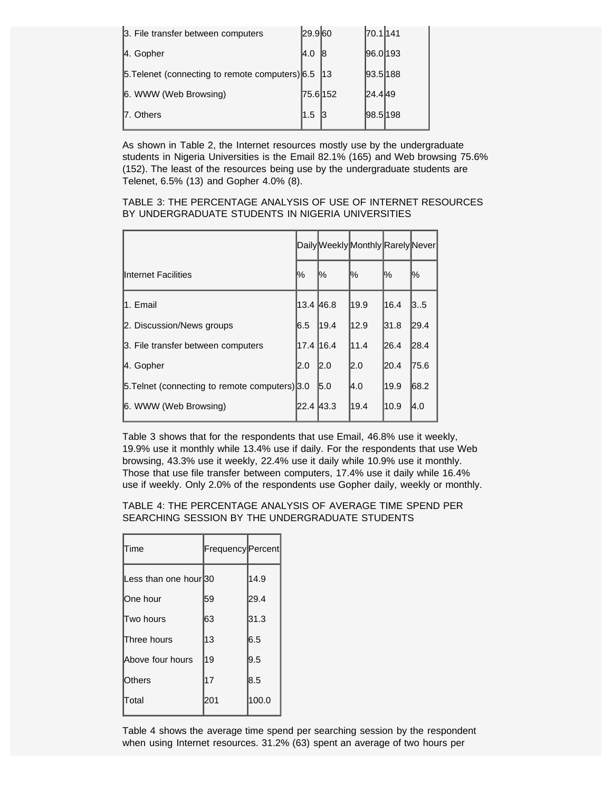| 1.5 |                                                                                                               |                                 |                                                             |
|-----|---------------------------------------------------------------------------------------------------------------|---------------------------------|-------------------------------------------------------------|
|     | I4.0<br>5.5 [6.5] 5. [6.5] 5. [6.5] 5. [6.5] 5. [6.5] 5. [6.5] 5. [6.5] 5. [6.5] 5. [6.5] 5. [6.5] 5. [6.5] 5 | 29.960<br>18<br>113<br>75.6 152 | 70.1 141<br> 96.0 193<br> 93.5 188<br> 24.4 49<br> 98.5 198 |

As shown in Table 2, the Internet resources mostly use by the undergraduate students in Nigeria Universities is the Email 82.1% (165) and Web browsing 75.6% (152). The least of the resources being use by the undergraduate students are Telenet, 6.5% (13) and Gopher 4.0% (8).

TABLE 3: THE PERCENTAGE ANALYSIS OF USE OF INTERNET RESOURCES BY UNDERGRADUATE STUDENTS IN NIGERIA UNIVERSITIES

|                                                |             |      | Daily Weekly Monthly Rarely Never |      |       |
|------------------------------------------------|-------------|------|-----------------------------------|------|-------|
| Internet Facilities                            | %           | %    | %                                 | ℅    | ℅     |
| l1. Email                                      | 13.4   46.8 |      | 19.9                              | 16.4 | 3.5   |
| 2. Discussion/News groups                      | 16.5        | 19.4 | 12.9                              | 31.8 | 29.4  |
| 3. File transfer between computers             | 17.4 16.4   |      | 11.4                              | 26.4 | 28.4  |
| 4. Gopher                                      | I2.0        | 2.0  | I2.0                              | 20.4 | 175.6 |
| 5. Telnet (connecting to remote computers) 3.0 |             | 5.0  | I4.0                              | 19.9 | 68.2  |
| 6. WWW (Web Browsing)                          | 22.4 43.3   |      | 19.4                              | 10.9 | I4.0  |

Table 3 shows that for the respondents that use Email, 46.8% use it weekly, 19.9% use it monthly while 13.4% use if daily. For the respondents that use Web browsing, 43.3% use it weekly, 22.4% use it daily while 10.9% use it monthly. Those that use file transfer between computers, 17.4% use it daily while 16.4% use if weekly. Only 2.0% of the respondents use Gopher daily, weekly or monthly.

TABLE 4: THE PERCENTAGE ANALYSIS OF AVERAGE TIME SPEND PER SEARCHING SESSION BY THE UNDERGRADUATE STUDENTS

| Time                              | Frequency Percent |       |
|-----------------------------------|-------------------|-------|
| ess than one hour <sup>1</sup> 30 |                   | 14.9  |
| lOne hour                         | 59                | 29.4  |
| Two hours                         | 63                | 31.3  |
| Three hours                       | 13                | 6.5   |
| Above four hours                  | 19                | 9.5   |
| Others                            | 17                | 8.5   |
| Total                             | 201               | 100.0 |

Table 4 shows the average time spend per searching session by the respondent when using Internet resources. 31.2% (63) spent an average of two hours per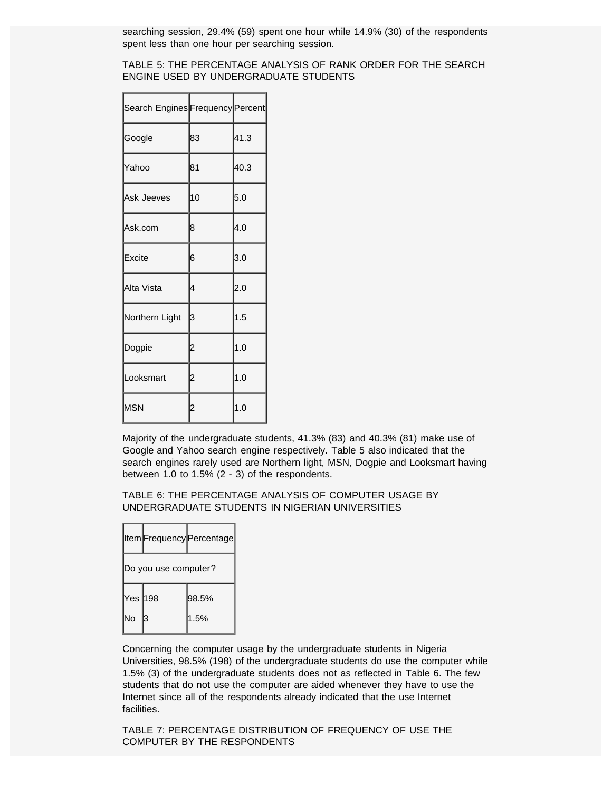searching session, 29.4% (59) spent one hour while 14.9% (30) of the respondents spent less than one hour per searching session.

#### TABLE 5: THE PERCENTAGE ANALYSIS OF RANK ORDER FOR THE SEARCH ENGINE USED BY UNDERGRADUATE STUDENTS

| Search Engines Frequency Percent |                |      |
|----------------------------------|----------------|------|
| Google                           | 83             | 41.3 |
| Yahoo                            | 81             | 40.3 |
| Ask Jeeves                       | 10             | 5.0  |
| Ask.com                          | 8              | 4.0  |
| Excite                           | 6              | 3.0  |
| Alta Vista                       | 4              | 2.0  |
| Northern Light                   | 3              | 1.5  |
| Dogpie                           | $\overline{c}$ | 1.0  |
| Looksmart                        | $\overline{c}$ | 1.0  |
| MSN                              |                | 1.0  |

Majority of the undergraduate students, 41.3% (83) and 40.3% (81) make use of Google and Yahoo search engine respectively. Table 5 also indicated that the search engines rarely used are Northern light, MSN, Dogpie and Looksmart having between 1.0 to 1.5% (2 - 3) of the respondents.

TABLE 6: THE PERCENTAGE ANALYSIS OF COMPUTER USAGE BY UNDERGRADUATE STUDENTS IN NIGERIAN UNIVERSITIES

|          |                      | Item Frequency Percentage |
|----------|----------------------|---------------------------|
|          | Do you use computer? |                           |
| Yes ∣198 |                      | 98.5%                     |
| No       | З                    | 1.5%                      |

Concerning the computer usage by the undergraduate students in Nigeria Universities, 98.5% (198) of the undergraduate students do use the computer while 1.5% (3) of the undergraduate students does not as reflected in Table 6. The few students that do not use the computer are aided whenever they have to use the Internet since all of the respondents already indicated that the use Internet facilities.

TABLE 7: PERCENTAGE DISTRIBUTION OF FREQUENCY OF USE THE COMPUTER BY THE RESPONDENTS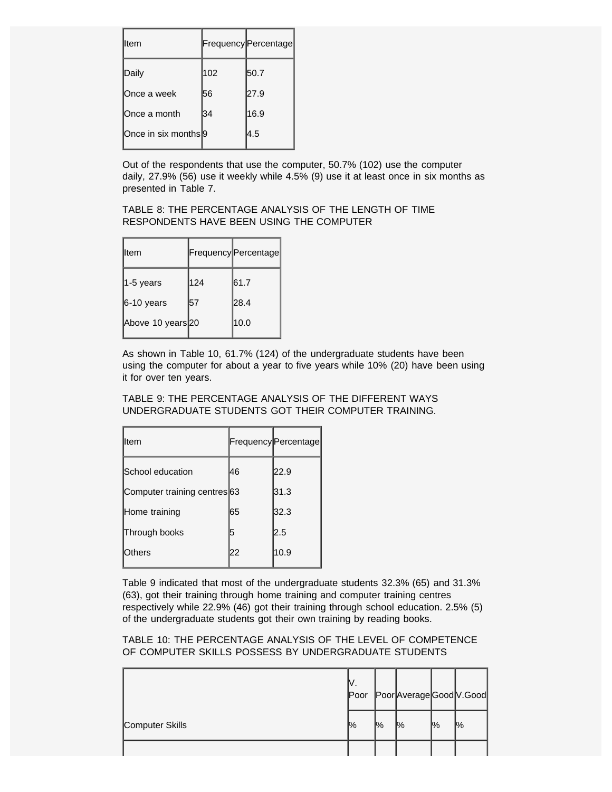| lltem                           |     | Frequency Percentage |
|---------------------------------|-----|----------------------|
| Daily                           | 102 | 50.7                 |
| Once a week                     | 56  | 27.9                 |
| ∣Once a month                   | 34  | 16.9                 |
| Once in six months <sup>9</sup> |     | l4.5                 |

Out of the respondents that use the computer, 50.7% (102) use the computer daily, 27.9% (56) use it weekly while 4.5% (9) use it at least once in six months as presented in Table 7.

#### TABLE 8: THE PERCENTAGE ANALYSIS OF THE LENGTH OF TIME RESPONDENTS HAVE BEEN USING THE COMPUTER

| lltem             |     | Frequency Percentage |
|-------------------|-----|----------------------|
| $ 1-5$ years      | 124 | 61.7                 |
| $6-10$ years      | 57  | 28.4                 |
| Above 10 years 20 |     | 10.0                 |

As shown in Table 10, 61.7% (124) of the undergraduate students have been using the computer for about a year to five years while 10% (20) have been using it for over ten years.

TABLE 9: THE PERCENTAGE ANALYSIS OF THE DIFFERENT WAYS UNDERGRADUATE STUDENTS GOT THEIR COMPUTER TRAINING.

| lltem                        |    | Frequency Percentage |
|------------------------------|----|----------------------|
| School education             | 46 | 22.9                 |
| Computer training centres 63 |    | 31.3                 |
| Home training                | 65 | 32.3                 |
| Through books                | 15 | $2.5\,$              |
| Others                       | 22 | 10.9                 |

Table 9 indicated that most of the undergraduate students 32.3% (65) and 31.3% (63), got their training through home training and computer training centres respectively while 22.9% (46) got their training through school education. 2.5% (5) of the undergraduate students got their own training by reading books.

TABLE 10: THE PERCENTAGE ANALYSIS OF THE LEVEL OF COMPETENCE OF COMPUTER SKILLS POSSESS BY UNDERGRADUATE STUDENTS

|                 | IV.<br>Poor   |                | Poor Average Good V. Good |               |                |
|-----------------|---------------|----------------|---------------------------|---------------|----------------|
| Computer Skills | $\frac{1}{2}$ | $\frac{10}{6}$ | $\frac{10}{6}$            | $\frac{1}{2}$ | $\frac{10}{6}$ |
|                 |               |                |                           |               |                |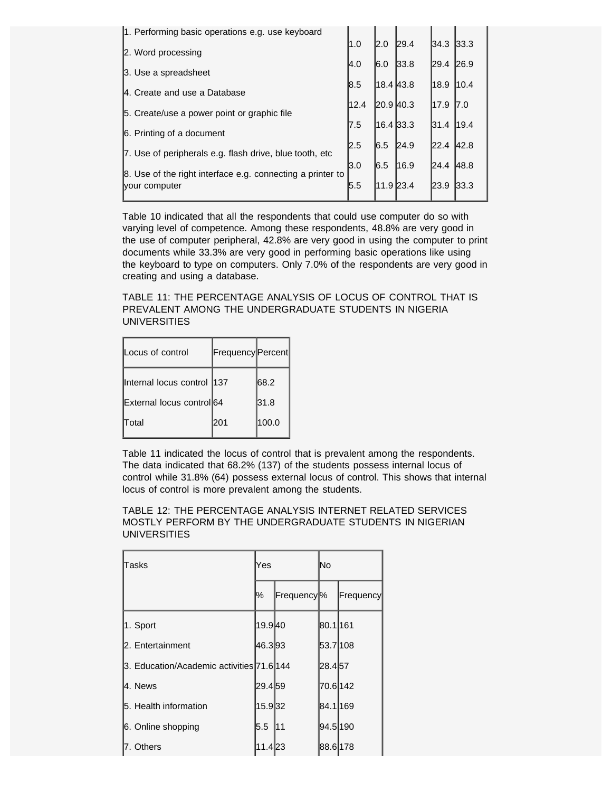| 1. Performing basic operations e.g. use keyboard           |      |           |      |           |       |
|------------------------------------------------------------|------|-----------|------|-----------|-------|
| 2. Word processing                                         | 1.0  | 2.0       | 29.4 | 34.3 33.3 |       |
| 3. Use a spreadsheet                                       | I4.0 | 6.0       | 33.8 | 29.4      | 26.9  |
|                                                            | 8.5  | 18.4 43.8 |      | 18.9      | 110.4 |
| 4. Create and use a Database                               | 12.4 | 20.9 40.3 |      | 17.9      | 17.0  |
| 5. Create/use a power point or graphic file                |      |           |      |           |       |
| 6. Printing of a document                                  | 17.5 | 16.4 33.3 |      | 31.4      | 19.4  |
| 7. Use of peripherals e.g. flash drive, blue tooth, etc    | 2.5  | 6.5       | 24.9 | 22.4      | 42.8  |
| 8. Use of the right interface e.g. connecting a printer to | l3.0 | 6.5       | 16.9 | 24.4      | 48.8  |
| vour computer                                              | 5.5  | 11.9 23.4 |      | 23.9      | 33.3  |
|                                                            |      |           |      |           |       |

Table 10 indicated that all the respondents that could use computer do so with varying level of competence. Among these respondents, 48.8% are very good in the use of computer peripheral, 42.8% are very good in using the computer to print documents while 33.3% are very good in performing basic operations like using the keyboard to type on computers. Only 7.0% of the respondents are very good in creating and using a database.

TABLE 11: THE PERCENTAGE ANALYSIS OF LOCUS OF CONTROL THAT IS PREVALENT AMONG THE UNDERGRADUATE STUDENTS IN NIGERIA UNIVERSITIES

| Locus of control           | Frequency Percent |       |
|----------------------------|-------------------|-------|
| Internal locus control 137 |                   | 68.2  |
| External locus control 64  |                   | 31.8  |
| <b>Total</b>               | l201              | 100.0 |

Table 11 indicated the locus of control that is prevalent among the respondents. The data indicated that 68.2% (137) of the students possess internal locus of control while 31.8% (64) possess external locus of control. This shows that internal locus of control is more prevalent among the students.

TABLE 12: THE PERCENTAGE ANALYSIS INTERNET RELATED SERVICES MOSTLY PERFORM BY THE UNDERGRADUATE STUDENTS IN NIGERIAN **UNIVERSITIES** 

| Tasks                                     | Yes     |                        | lNo       |           |
|-------------------------------------------|---------|------------------------|-----------|-----------|
|                                           | %       | Frequency <sup>o</sup> |           | Frequency |
| 1. Sport                                  | 19.940  |                        | 80.1 161  |           |
| 2. Entertainment                          | 46.393  |                        | 53.7108   |           |
| 3. Education/Academic activities 71.6 144 |         |                        | 28.457    |           |
| l4. News                                  | 29.4 59 |                        | l70.6l142 |           |
| 5. Health information                     | 15.932  |                        | 84.1l169  |           |
| 6. Online shopping                        | 5.5     | 11                     | 94.5190   |           |
| l7. Others                                | 11.4 23 |                        | 88.6 178  |           |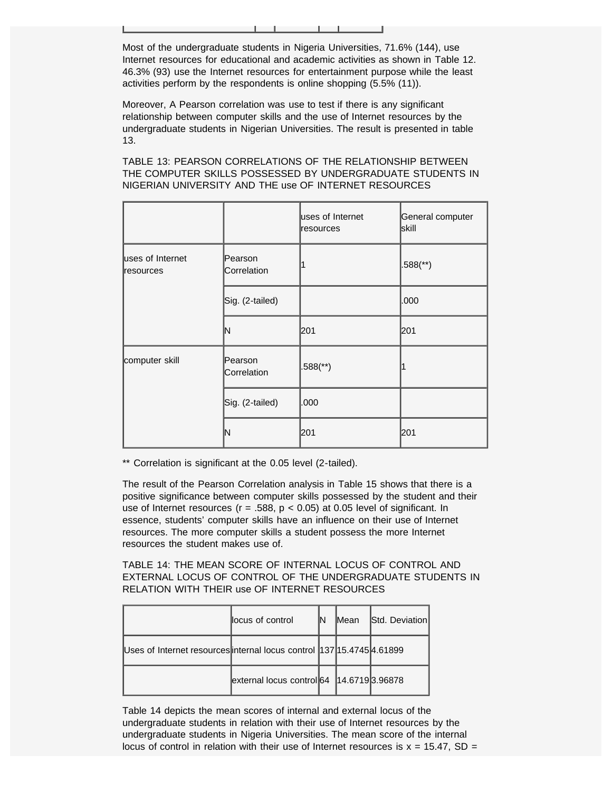Most of the undergraduate students in Nigeria Universities, 71.6% (144), use Internet resources for educational and academic activities as shown in Table 12. 46.3% (93) use the Internet resources for entertainment purpose while the least activities perform by the respondents is online shopping (5.5% (11)).

Moreover, A Pearson correlation was use to test if there is any significant relationship between computer skills and the use of Internet resources by the undergraduate students in Nigerian Universities. The result is presented in table 13.

TABLE 13: PEARSON CORRELATIONS OF THE RELATIONSHIP BETWEEN THE COMPUTER SKILLS POSSESSED BY UNDERGRADUATE STUDENTS IN NIGERIAN UNIVERSITY AND THE use OF INTERNET RESOURCES

|                               |                        | uses of Internet<br>resources | General computer<br>lskill |
|-------------------------------|------------------------|-------------------------------|----------------------------|
| uses of Internet<br>resources | Pearson<br>Correlation |                               | $.588$ (**)                |
|                               | Sig. (2-tailed)        |                               | .000                       |
|                               | ΙN                     | 201                           | 201                        |
| computer skill                | Pearson<br>Correlation | $.588$ <sup>(**)</sup> )      |                            |
|                               | Sig. (2-tailed)        | .000                          |                            |
|                               | ΙN                     | 201                           | 201                        |

\*\* Correlation is significant at the 0.05 level (2-tailed).

The result of the Pearson Correlation analysis in Table 15 shows that there is a positive significance between computer skills possessed by the student and their use of Internet resources ( $r = .588$ ,  $p < 0.05$ ) at 0.05 level of significant. In essence, students' computer skills have an influence on their use of Internet resources. The more computer skills a student possess the more Internet resources the student makes use of.

TABLE 14: THE MEAN SCORE OF INTERNAL LOCUS OF CONTROL AND EXTERNAL LOCUS OF CONTROL OF THE UNDERGRADUATE STUDENTS IN RELATION WITH THEIR use OF INTERNET RESOURCES

|                                                                        | llocus of control                           | <b>IMean</b> | Std. Deviation |
|------------------------------------------------------------------------|---------------------------------------------|--------------|----------------|
| Uses of Internet resources internal locus control  137 15.4745 4.61899 |                                             |              |                |
|                                                                        | external locus control 64   14.6719 3.96878 |              |                |

Table 14 depicts the mean scores of internal and external locus of the undergraduate students in relation with their use of Internet resources by the undergraduate students in Nigeria Universities. The mean score of the internal locus of control in relation with their use of Internet resources is  $x = 15.47$ , SD =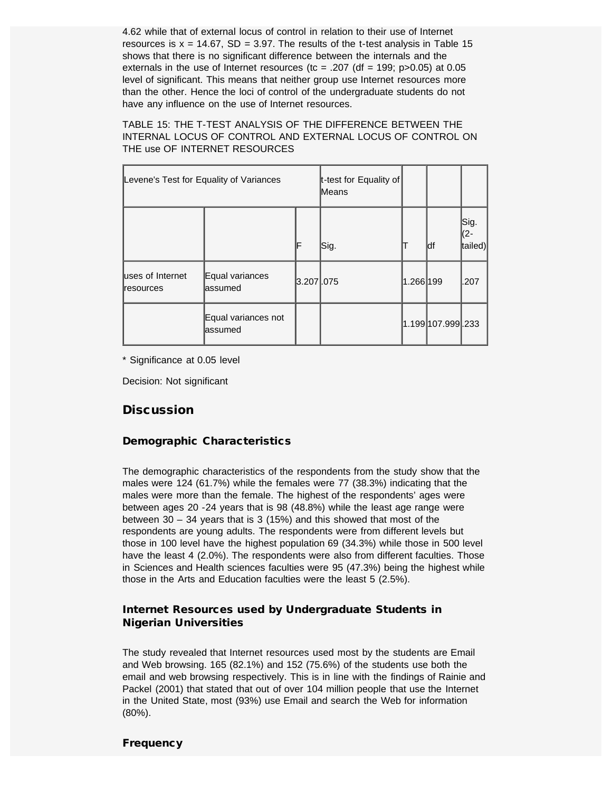4.62 while that of external locus of control in relation to their use of Internet resources is  $x = 14.67$ , SD = 3.97. The results of the t-test analysis in Table 15 shows that there is no significant difference between the internals and the externals in the use of Internet resources (tc =  $.207$  (df = 199; p $>0.05$ ) at 0.05 level of significant. This means that neither group use Internet resources more than the other. Hence the loci of control of the undergraduate students do not have any influence on the use of Internet resources.

TABLE 15: THE T-TEST ANALYSIS OF THE DIFFERENCE BETWEEN THE INTERNAL LOCUS OF CONTROL AND EXTERNAL LOCUS OF CONTROL ON THE use OF INTERNET RESOURCES

| Levene's Test for Equality of Variances |                                 | t-test for Equality of<br>Means |      |           |                   |                         |
|-----------------------------------------|---------------------------------|---------------------------------|------|-----------|-------------------|-------------------------|
|                                         |                                 | F                               | Sig. |           | ldf               | Sig.<br>∣(2-<br>tailed) |
| luses of Internet<br><b>resources</b>   | Equal variances<br>lassumed     | 3.207 .075                      |      | 1.266 199 |                   | l.207                   |
|                                         | Equal variances not<br>lassumed |                                 |      |           | 1.199 107.999 233 |                         |

\* Significance at 0.05 level

Decision: Not significant

### **Discussion**

#### Demographic Characteristics

The demographic characteristics of the respondents from the study show that the males were 124 (61.7%) while the females were 77 (38.3%) indicating that the males were more than the female. The highest of the respondents' ages were between ages 20 -24 years that is 98 (48.8%) while the least age range were between 30 – 34 years that is 3 (15%) and this showed that most of the respondents are young adults. The respondents were from different levels but those in 100 level have the highest population 69 (34.3%) while those in 500 level have the least 4 (2.0%). The respondents were also from different faculties. Those in Sciences and Health sciences faculties were 95 (47.3%) being the highest while those in the Arts and Education faculties were the least 5 (2.5%).

#### Internet Resources used by Undergraduate Students in Nigerian Universities

The study revealed that Internet resources used most by the students are Email and Web browsing. 165 (82.1%) and 152 (75.6%) of the students use both the email and web browsing respectively. This is in line with the findings of Rainie and Packel (2001) that stated that out of over 104 million people that use the Internet in the United State, most (93%) use Email and search the Web for information (80%).

#### **Frequency**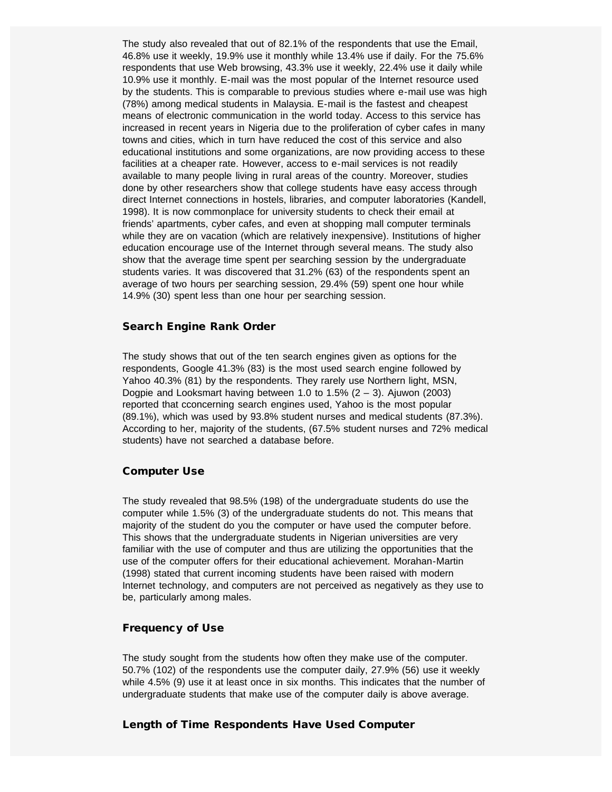The study also revealed that out of 82.1% of the respondents that use the Email, 46.8% use it weekly, 19.9% use it monthly while 13.4% use if daily. For the 75.6% respondents that use Web browsing, 43.3% use it weekly, 22.4% use it daily while 10.9% use it monthly. E-mail was the most popular of the Internet resource used by the students. This is comparable to previous studies where e-mail use was high (78%) among medical students in Malaysia. E-mail is the fastest and cheapest means of electronic communication in the world today. Access to this service has increased in recent years in Nigeria due to the proliferation of cyber cafes in many towns and cities, which in turn have reduced the cost of this service and also educational institutions and some organizations, are now providing access to these facilities at a cheaper rate. However, access to e-mail services is not readily available to many people living in rural areas of the country. Moreover, studies done by other researchers show that college students have easy access through direct Internet connections in hostels, libraries, and computer laboratories (Kandell, 1998). It is now commonplace for university students to check their email at friends' apartments, cyber cafes, and even at shopping mall computer terminals while they are on vacation (which are relatively inexpensive). Institutions of higher education encourage use of the Internet through several means. The study also show that the average time spent per searching session by the undergraduate students varies. It was discovered that 31.2% (63) of the respondents spent an average of two hours per searching session, 29.4% (59) spent one hour while 14.9% (30) spent less than one hour per searching session.

#### Search Engine Rank Order

The study shows that out of the ten search engines given as options for the respondents, Google 41.3% (83) is the most used search engine followed by Yahoo 40.3% (81) by the respondents. They rarely use Northern light, MSN, Dogpie and Looksmart having between 1.0 to 1.5%  $(2 - 3)$ . Ajuwon (2003) reported that cconcerning search engines used, Yahoo is the most popular (89.1%), which was used by 93.8% student nurses and medical students (87.3%). According to her, majority of the students, (67.5% student nurses and 72% medical students) have not searched a database before.

#### Computer Use

The study revealed that 98.5% (198) of the undergraduate students do use the computer while 1.5% (3) of the undergraduate students do not. This means that majority of the student do you the computer or have used the computer before. This shows that the undergraduate students in Nigerian universities are very familiar with the use of computer and thus are utilizing the opportunities that the use of the computer offers for their educational achievement. Morahan-Martin (1998) stated that current incoming students have been raised with modern Internet technology, and computers are not perceived as negatively as they use to be, particularly among males.

#### Frequency of Use

The study sought from the students how often they make use of the computer. 50.7% (102) of the respondents use the computer daily, 27.9% (56) use it weekly while 4.5% (9) use it at least once in six months. This indicates that the number of undergraduate students that make use of the computer daily is above average.

#### Length of Time Respondents Have Used Computer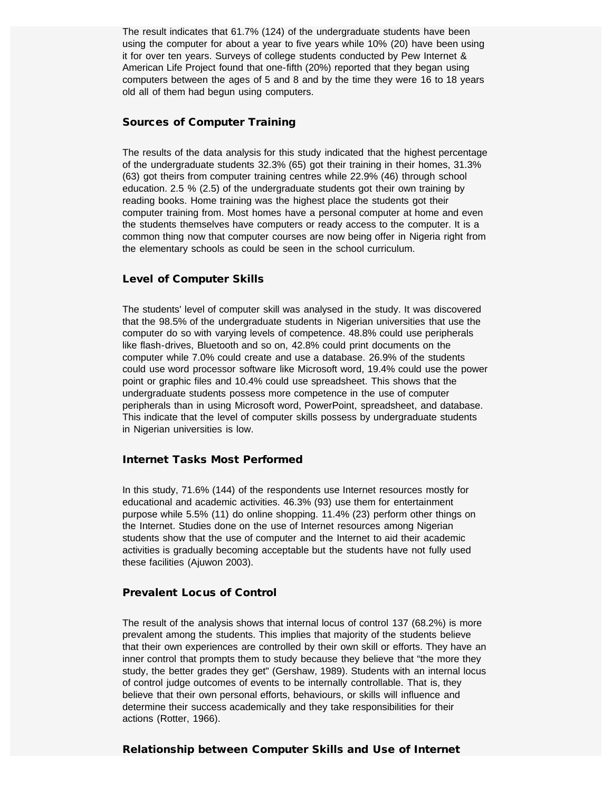The result indicates that 61.7% (124) of the undergraduate students have been using the computer for about a year to five years while 10% (20) have been using it for over ten years. Surveys of college students conducted by Pew Internet & American Life Project found that one-fifth (20%) reported that they began using computers between the ages of 5 and 8 and by the time they were 16 to 18 years old all of them had begun using computers.

#### Sources of Computer Training

The results of the data analysis for this study indicated that the highest percentage of the undergraduate students 32.3% (65) got their training in their homes, 31.3% (63) got theirs from computer training centres while 22.9% (46) through school education. 2.5 % (2.5) of the undergraduate students got their own training by reading books. Home training was the highest place the students got their computer training from. Most homes have a personal computer at home and even the students themselves have computers or ready access to the computer. It is a common thing now that computer courses are now being offer in Nigeria right from the elementary schools as could be seen in the school curriculum.

#### Level of Computer Skills

The students' level of computer skill was analysed in the study. It was discovered that the 98.5% of the undergraduate students in Nigerian universities that use the computer do so with varying levels of competence. 48.8% could use peripherals like flash-drives, Bluetooth and so on, 42.8% could print documents on the computer while 7.0% could create and use a database. 26.9% of the students could use word processor software like Microsoft word, 19.4% could use the power point or graphic files and 10.4% could use spreadsheet. This shows that the undergraduate students possess more competence in the use of computer peripherals than in using Microsoft word, PowerPoint, spreadsheet, and database. This indicate that the level of computer skills possess by undergraduate students in Nigerian universities is low.

#### Internet Tasks Most Performed

In this study, 71.6% (144) of the respondents use Internet resources mostly for educational and academic activities. 46.3% (93) use them for entertainment purpose while 5.5% (11) do online shopping. 11.4% (23) perform other things on the Internet. Studies done on the use of Internet resources among Nigerian students show that the use of computer and the Internet to aid their academic activities is gradually becoming acceptable but the students have not fully used these facilities (Ajuwon 2003).

## Prevalent Locus of Control

The result of the analysis shows that internal locus of control 137 (68.2%) is more prevalent among the students. This implies that majority of the students believe that their own experiences are controlled by their own skill or efforts. They have an inner control that prompts them to study because they believe that "the more they study, the better grades they get" (Gershaw, 1989). Students with an internal locus of control judge outcomes of events to be internally controllable. That is, they believe that their own personal efforts, behaviours, or skills will influence and determine their success academically and they take responsibilities for their actions (Rotter, 1966).

#### Relationship between Computer Skills and Use of Internet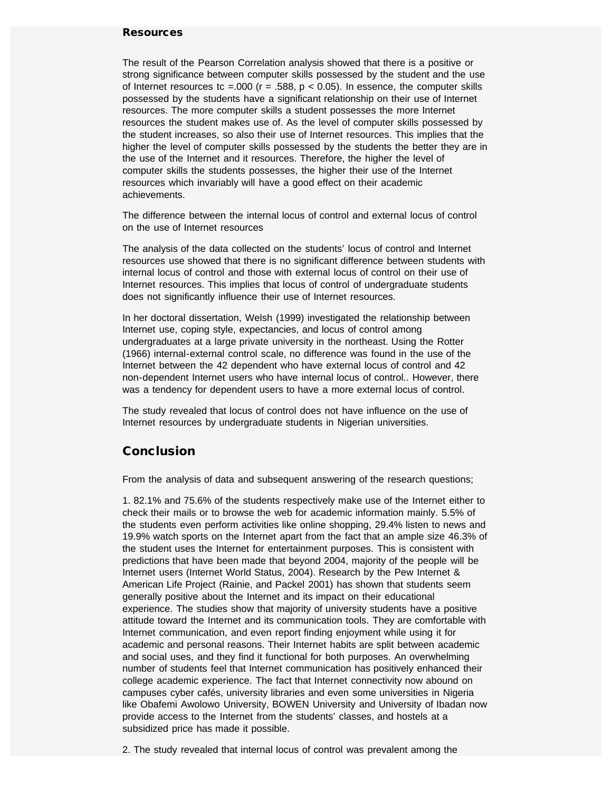#### **Resources**

The result of the Pearson Correlation analysis showed that there is a positive or strong significance between computer skills possessed by the student and the use of Internet resources tc =.000 ( $r = .588$ ,  $p < 0.05$ ). In essence, the computer skills possessed by the students have a significant relationship on their use of Internet resources. The more computer skills a student possesses the more Internet resources the student makes use of. As the level of computer skills possessed by the student increases, so also their use of Internet resources. This implies that the higher the level of computer skills possessed by the students the better they are in the use of the Internet and it resources. Therefore, the higher the level of computer skills the students possesses, the higher their use of the Internet resources which invariably will have a good effect on their academic achievements.

The difference between the internal locus of control and external locus of control on the use of Internet resources

The analysis of the data collected on the students' locus of control and Internet resources use showed that there is no significant difference between students with internal locus of control and those with external locus of control on their use of Internet resources. This implies that locus of control of undergraduate students does not significantly influence their use of Internet resources.

In her doctoral dissertation, Welsh (1999) investigated the relationship between Internet use, coping style, expectancies, and locus of control among undergraduates at a large private university in the northeast. Using the Rotter (1966) internal-external control scale, no difference was found in the use of the Internet between the 42 dependent who have external locus of control and 42 non-dependent Internet users who have internal locus of control.. However, there was a tendency for dependent users to have a more external locus of control.

The study revealed that locus of control does not have influence on the use of Internet resources by undergraduate students in Nigerian universities.

# **Conclusion**

From the analysis of data and subsequent answering of the research questions;

1. 82.1% and 75.6% of the students respectively make use of the Internet either to check their mails or to browse the web for academic information mainly. 5.5% of the students even perform activities like online shopping, 29.4% listen to news and 19.9% watch sports on the Internet apart from the fact that an ample size 46.3% of the student uses the Internet for entertainment purposes. This is consistent with predictions that have been made that beyond 2004, majority of the people will be Internet users (Internet World Status, 2004). Research by the Pew Internet & American Life Project (Rainie, and Packel 2001) has shown that students seem generally positive about the Internet and its impact on their educational experience. The studies show that majority of university students have a positive attitude toward the Internet and its communication tools. They are comfortable with Internet communication, and even report finding enjoyment while using it for academic and personal reasons. Their Internet habits are split between academic and social uses, and they find it functional for both purposes. An overwhelming number of students feel that Internet communication has positively enhanced their college academic experience. The fact that Internet connectivity now abound on campuses cyber cafés, university libraries and even some universities in Nigeria like Obafemi Awolowo University, BOWEN University and University of Ibadan now provide access to the Internet from the students' classes, and hostels at a subsidized price has made it possible.

2. The study revealed that internal locus of control was prevalent among the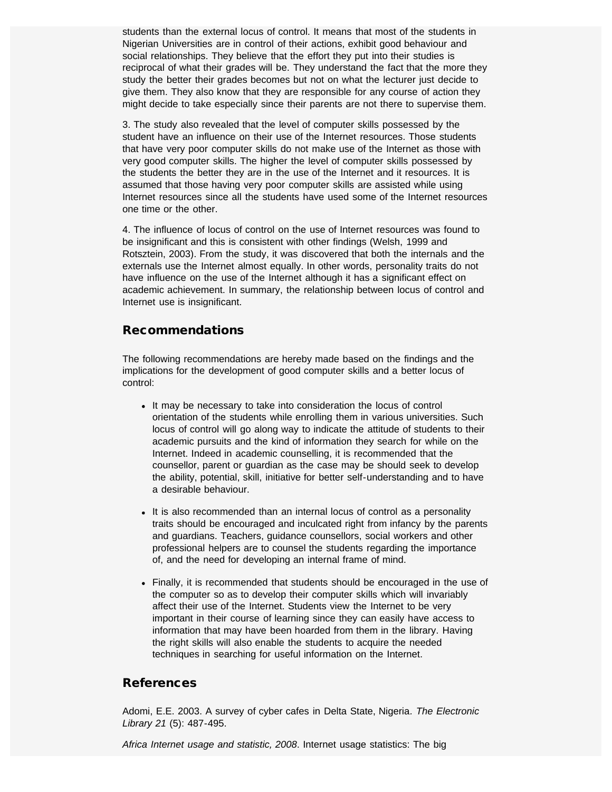students than the external locus of control. It means that most of the students in Nigerian Universities are in control of their actions, exhibit good behaviour and social relationships. They believe that the effort they put into their studies is reciprocal of what their grades will be. They understand the fact that the more they study the better their grades becomes but not on what the lecturer just decide to give them. They also know that they are responsible for any course of action they might decide to take especially since their parents are not there to supervise them.

3. The study also revealed that the level of computer skills possessed by the student have an influence on their use of the Internet resources. Those students that have very poor computer skills do not make use of the Internet as those with very good computer skills. The higher the level of computer skills possessed by the students the better they are in the use of the Internet and it resources. It is assumed that those having very poor computer skills are assisted while using Internet resources since all the students have used some of the Internet resources one time or the other.

4. The influence of locus of control on the use of Internet resources was found to be insignificant and this is consistent with other findings (Welsh, 1999 and Rotsztein, 2003). From the study, it was discovered that both the internals and the externals use the Internet almost equally. In other words, personality traits do not have influence on the use of the Internet although it has a significant effect on academic achievement. In summary, the relationship between locus of control and Internet use is insignificant.

# Recommendations

The following recommendations are hereby made based on the findings and the implications for the development of good computer skills and a better locus of control:

- It may be necessary to take into consideration the locus of control orientation of the students while enrolling them in various universities. Such locus of control will go along way to indicate the attitude of students to their academic pursuits and the kind of information they search for while on the Internet. Indeed in academic counselling, it is recommended that the counsellor, parent or guardian as the case may be should seek to develop the ability, potential, skill, initiative for better self-understanding and to have a desirable behaviour.
- It is also recommended than an internal locus of control as a personality traits should be encouraged and inculcated right from infancy by the parents and guardians. Teachers, guidance counsellors, social workers and other professional helpers are to counsel the students regarding the importance of, and the need for developing an internal frame of mind.
- Finally, it is recommended that students should be encouraged in the use of the computer so as to develop their computer skills which will invariably affect their use of the Internet. Students view the Internet to be very important in their course of learning since they can easily have access to information that may have been hoarded from them in the library. Having the right skills will also enable the students to acquire the needed techniques in searching for useful information on the Internet.

# References

Adomi, E.E. 2003. A survey of cyber cafes in Delta State, Nigeria*. The Electronic Library 21* (5): 487-495.

*Africa Internet usage and statistic, 2008*. Internet usage statistics: The big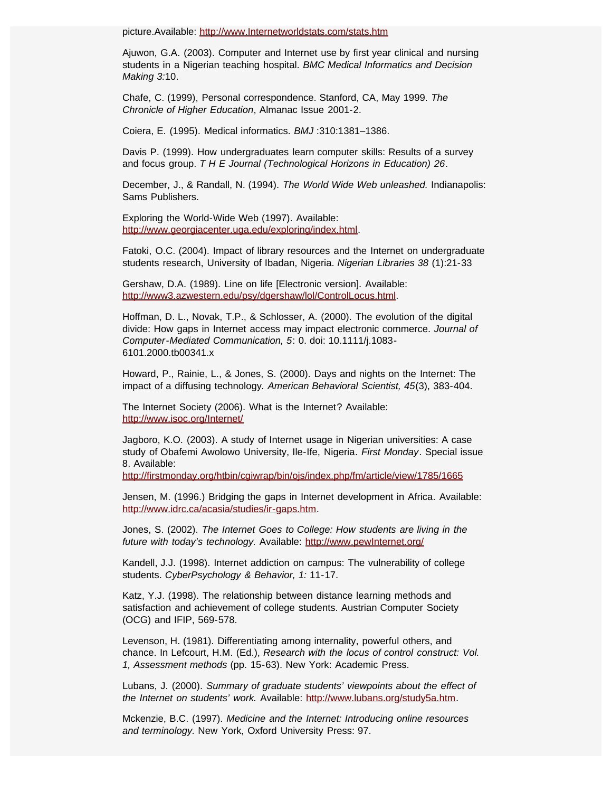picture.Available: [http://www.Internetworldstats.com/stats.htm](http://www.internetworldstats.com/stats.htm)

Ajuwon, G.A. (2003). Computer and Internet use by first year clinical and nursing students in a Nigerian teaching hospital. *BMC Medical Informatics and Decision Making 3:*10.

Chafe, C. (1999), Personal correspondence. Stanford, CA, May 1999. *The Chronicle of Higher Education*, Almanac Issue 2001-2.

Coiera, E. (1995). Medical informatics. *BMJ* :310:1381–1386.

Davis P. (1999). How undergraduates learn computer skills: Results of a survey and focus group. *T H E Journal (Technological Horizons in Education) 26*.

December, J., & Randall, N. (1994). *The World Wide Web unleashed.* Indianapolis: Sams Publishers.

Exploring the World-Wide Web (1997). Available: [http://www.georgiacenter.uga.edu/exploring/index.html.](http://www.georgiacenter.uga.edu/exploring/index.html)

Fatoki, O.C. (2004). Impact of library resources and the Internet on undergraduate students research, University of Ibadan, Nigeria. *Nigerian Libraries 38* (1):21-33

Gershaw, D.A. (1989). Line on life [Electronic version]. Available: [http://www3.azwestern.edu/psy/dgershaw/lol/ControlLocus.html.](http://www3.azwestern.edu/psy/dgershaw/lol/ControlLocus.html)

Hoffman, D. L., Novak, T.P., & Schlosser, A. (2000). The evolution of the digital divide: How gaps in Internet access may impact electronic commerce. *Journal of Computer-Mediated Communication, 5*: 0. doi: 10.1111/j.1083- 6101.2000.tb00341.x

Howard, P., Rainie, L., & Jones, S. (2000). Days and nights on the Internet: The impact of a diffusing technology*. American Behavioral Scientist, 45*(3), 383-404.

The Internet Society (2006). What is the Internet? Available: [http://www.isoc.org/Internet/](c:Documents%20and%20SettingsAdministratorDesktopbola%27s%20projectredirect3.cgi?&&auth=0xUrYcjp-p3XGophVjsj5GHrZKG8QLj-23mzmCkUX&reftype=extlink&artid=222977&article-id=222977&iid=4534&issue-id=4534&jid=42&journal-id=42&FROM=Article%7CCitationRef&%20)

Jagboro, K.O. (2003). A study of Internet usage in Nigerian universities: A case study of Obafemi Awolowo University, Ile-Ife, Nigeria*. First Monday*. Special issue 8. Available:

<http://firstmonday.org/htbin/cgiwrap/bin/ojs/index.php/fm/article/view/1785/1665>

Jensen, M. (1996.) Bridging the gaps in Internet development in Africa*.* Available: [http://www.idrc.ca/acasia/studies/ir-gaps.htm.](http://www.idrc.ca/acasia/studies/ir-gaps.htm)

Jones, S. (2002). *The Internet Goes to College: How students are living in the future with today's technology.* Available: [http://www.pewInternet.org/](http://www.pewinternet.org/)

Kandell, J.J. (1998). Internet addiction on campus: The vulnerability of college students. *CyberPsychology & Behavior, 1:* 11-17.

Katz, Y.J. (1998). The relationship between distance learning methods and satisfaction and achievement of college students. Austrian Computer Society (OCG) and IFIP, 569-578.

Levenson, H. (1981). Differentiating among internality, powerful others, and chance. In Lefcourt, H.M. (Ed.), *Research with the locus of control construct: Vol. 1, Assessment methods* (pp. 15-63). New York: Academic Press.

Lubans, J. (2000). *Summary of graduate students' viewpoints about the effect of the Internet on students' work.* Available: <http://www.lubans.org/study5a.htm>.

Mckenzie, B.C. (1997). *Medicine and the Internet: Introducing online resources and terminology.* New York, Oxford University Press: 97.